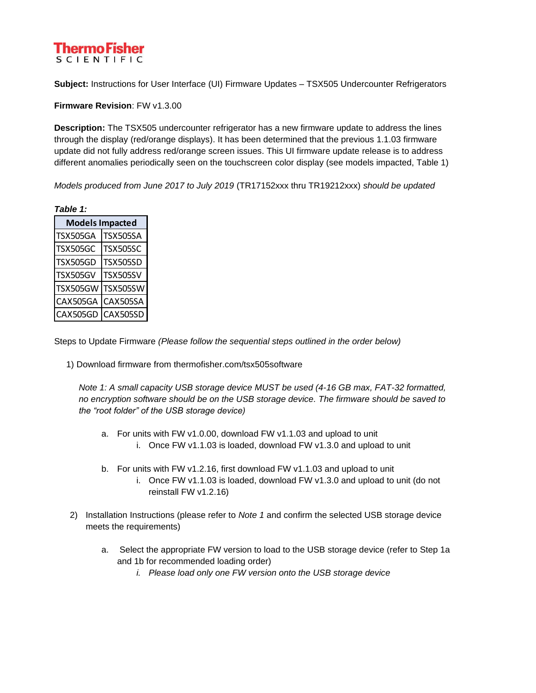### Thermo Fisher **SCIENTIFIC**

**Subject:** Instructions for User Interface (UI) Firmware Updates – TSX505 Undercounter Refrigerators

**Firmware Revision**: FW v1.3.00

**Description:** The TSX505 undercounter refrigerator has a new firmware update to address the lines through the display (red/orange displays). It has been determined that the previous 1.1.03 firmware update did not fully address red/orange screen issues. This UI firmware update release is to address different anomalies periodically seen on the touchscreen color display (see models impacted, Table 1)

*Models produced from June 2017 to July 2019* (TR17152xxx thru TR19212xxx) *should be updated*

| ٦.<br>÷<br>×, | ۰. |  |
|---------------|----|--|

| <b>Models Impacted</b> |                 |
|------------------------|-----------------|
| <b>TSX505GA</b>        | <b>TSX505SA</b> |
| <b>TSX505GC</b>        | <b>TSX505SC</b> |
| <b>TSX505GD</b>        | <b>TSX505SD</b> |
| <b>TSX505GV</b>        | <b>TSX505SV</b> |
| <b>TSX505GW</b>        | <b>TSX505SW</b> |
| CAX505GA               | CAX505SA        |
| CAX505GD               | <b>CAX505SD</b> |

Steps to Update Firmware *(Please follow the sequential steps outlined in the order below)*

1) Download firmware from thermofisher.com/tsx505software

*Note 1: A small capacity USB storage device MUST be used (4-16 GB max, FAT-32 formatted, no encryption software should be on the USB storage device. The firmware should be saved to the "root folder" of the USB storage device)*

- a. For units with FW v1.0.00, download FW v1.1.03 and upload to unit i. Once FW v1.1.03 is loaded, download FW v1.3.0 and upload to unit
- b. For units with FW v1.2.16, first download FW v1.1.03 and upload to unit
	- i. Once FW v1.1.03 is loaded, download FW v1.3.0 and upload to unit (do not reinstall FW v1.2.16)
- 2) Installation Instructions (please refer to *Note 1* and confirm the selected USB storage device meets the requirements)
	- a. Select the appropriate FW version to load to the USB storage device (refer to Step 1a and 1b for recommended loading order)
		- *i. Please load only one FW version onto the USB storage device*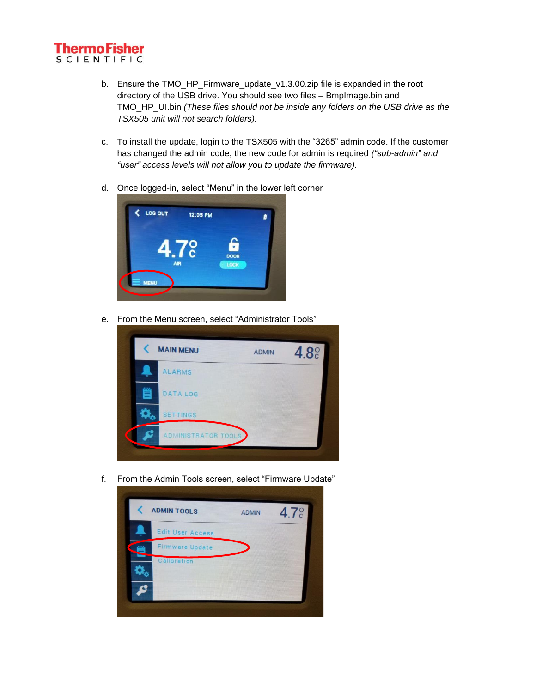

- b. Ensure the TMO\_HP\_Firmware\_update\_v1.3.00.zip file is expanded in the root directory of the USB drive. You should see two files – BmpImage.bin and TMO\_HP\_UI.bin *(These files should not be inside any folders on the USB drive as the TSX505 unit will not search folders).*
- c. To install the update, login to the TSX505 with the "3265" admin code. If the customer has changed the admin code, the new code for admin is required *("sub-admin" and "user" access levels will not allow you to update the firmware).*
- d. Once logged-in, select "Menu" in the lower left corner



e. From the Menu screen, select "Administrator Tools"



f. From the Admin Tools screen, select "Firmware Update"

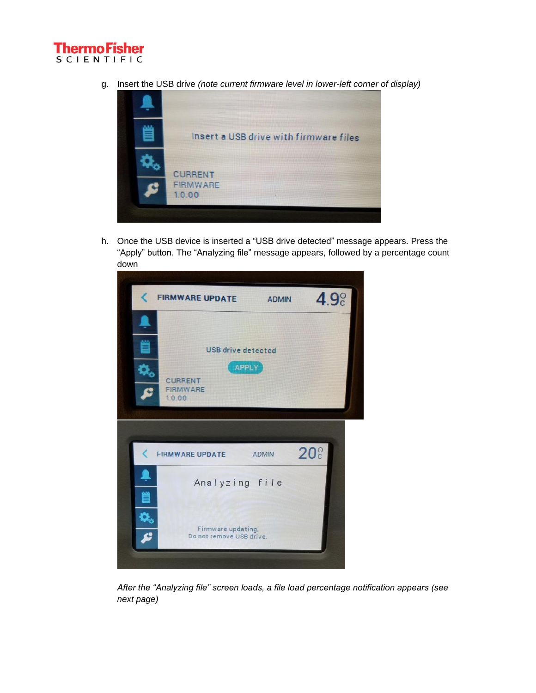

g. Insert the USB drive *(note current firmware level in lower-left corner of display)*



h. Once the USB device is inserted a "USB drive detected" message appears. Press the "Apply" button. The "Analyzing file" message appears, followed by a percentage count down



*After the "Analyzing file" screen loads, a file load percentage notification appears (see next page)*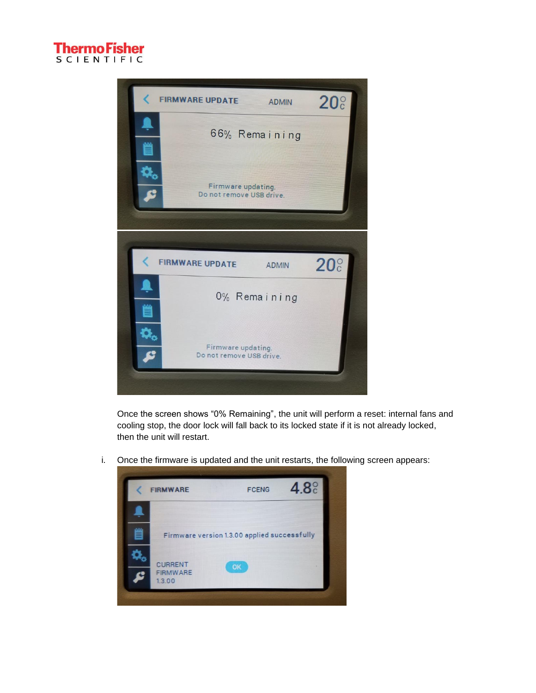



Once the screen shows "0% Remaining", the unit will perform a reset: internal fans and cooling stop, the door lock will fall back to its locked state if it is not already locked, then the unit will restart.

i. Once the firmware is updated and the unit restarts, the following screen appears:

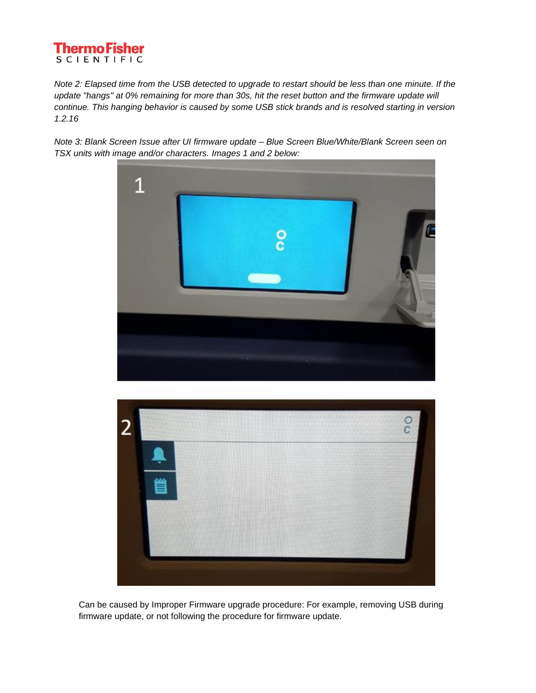## **Thermo Fisher SCIENTIFIC**

*Note 2: Elapsed time from the USB detected to upgrade to restart should be less than one minute. If the update "hangs" at 0% remaining for more than 30s, hit the reset button and the firmware update will continue. This hanging behavior is caused by some USB stick brands and is resolved starting in version 1.2.16*

*Note 3: Blank Screen Issue after UI firmware update – Blue Screen Blue/White/Blank Screen seen on TSX units with image and/or characters. Images 1 and 2 below:*





Can be caused by Improper Firmware upgrade procedure: For example, removing USB during firmware update, or not following the procedure for firmware update.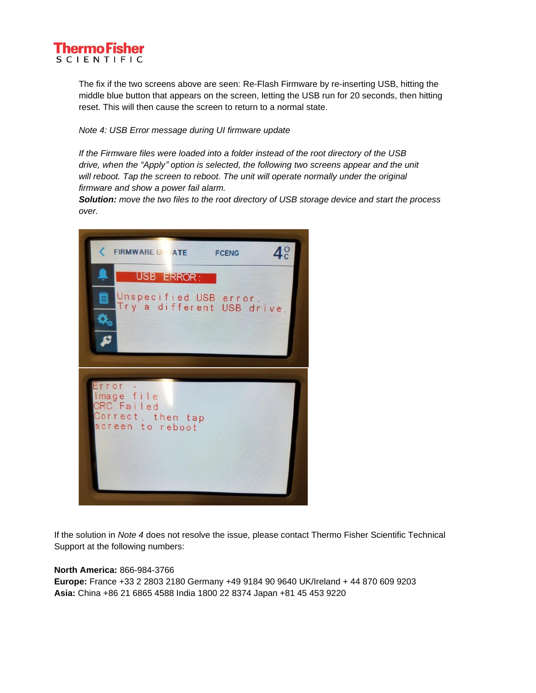#### Thermo Fisher **SCIENTIFIC**

The fix if the two screens above are seen: Re-Flash Firmware by re-inserting USB, hitting the middle blue button that appears on the screen, letting the USB run for 20 seconds, then hitting reset. This will then cause the screen to return to a normal state.

*Note 4: USB Error message during UI firmware update*

*If the Firmware files were loaded into a folder instead of the root directory of the USB drive, when the "Apply" option is selected, the following two screens appear and the unit will reboot. Tap the screen to reboot. The unit will operate normally under the original firmware and show a power fail alarm.* 

*Solution: move the two files to the root directory of USB storage device and start the process over.*



If the solution in *Note 4* does not resolve the issue, please contact Thermo Fisher Scientific Technical Support at the following numbers:

#### **North America:** 866-984-3766

**Europe:** France +33 2 2803 2180 Germany +49 9184 90 9640 UK/Ireland + 44 870 609 9203 **Asia:** China +86 21 6865 4588 India 1800 22 8374 Japan +81 45 453 9220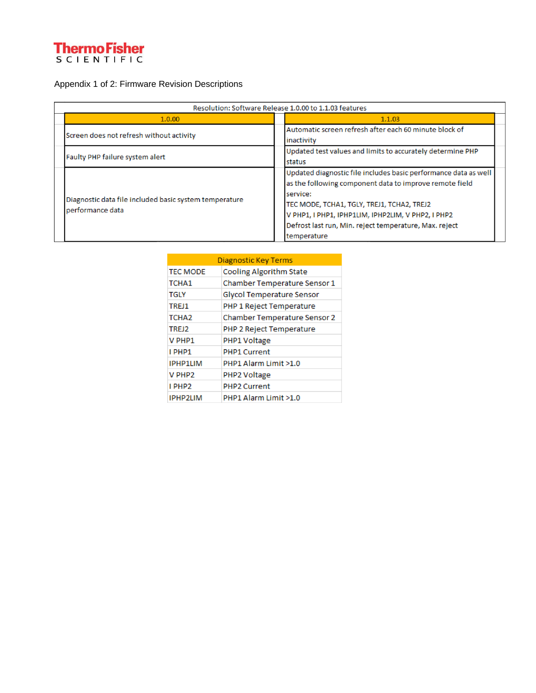# **ThermoFisher**<br>SCIENTIFIC

## Appendix 1 of 2: Firmware Revision Descriptions

| Resolution: Software Release 1.0.00 to 1.1.03 features                     |                                                                                                                                                                                                                                                                                                                     |  |  |
|----------------------------------------------------------------------------|---------------------------------------------------------------------------------------------------------------------------------------------------------------------------------------------------------------------------------------------------------------------------------------------------------------------|--|--|
| 1.0.00                                                                     | 1.1.03                                                                                                                                                                                                                                                                                                              |  |  |
| Screen does not refresh without activity                                   | Automatic screen refresh after each 60 minute block of<br>inactivity                                                                                                                                                                                                                                                |  |  |
| Faulty PHP failure system alert                                            | Updated test values and limits to accurately determine PHP<br>Istatus                                                                                                                                                                                                                                               |  |  |
| Diagnostic data file included basic system temperature<br>performance data | Updated diagnostic file includes basic performance data as well<br>as the following component data to improve remote field<br>service:<br>TEC MODE, TCHA1, TGLY, TREJ1, TCHA2, TREJ2<br>V PHP1, I PHP1, IPHP1LIM, IPHP2LIM, V PHP2, I PHP2<br>Defrost last run, Min. reject temperature, Max. reject<br>temperature |  |  |

| Diagnostic Key Terms |                                |  |
|----------------------|--------------------------------|--|
| <b>TEC MODE</b>      | <b>Cooling Algorithm State</b> |  |
| TCHA <sub>1</sub>    | Chamber Temperature Sensor 1   |  |
| <b>TGLY</b>          | Glycol Temperature Sensor      |  |
| TREJ1                | PHP 1 Reject Temperature       |  |
| TCHA <sub>2</sub>    | Chamber Temperature Sensor 2   |  |
| TREJ2                | PHP 2 Reject Temperature       |  |
| V PHP1               | PHP1 Voltage                   |  |
| I PHP1               | <b>PHP1 Current</b>            |  |
| <b>IPHP1LIM</b>      | PHP1 Alarm Limit >1.0          |  |
| V PHP <sub>2</sub>   | PHP2 Voltage                   |  |
| I PHP <sub>2</sub>   | <b>PHP2 Current</b>            |  |
| <b>IPHP2LIM</b>      | PHP1 Alarm Limit >1.0          |  |